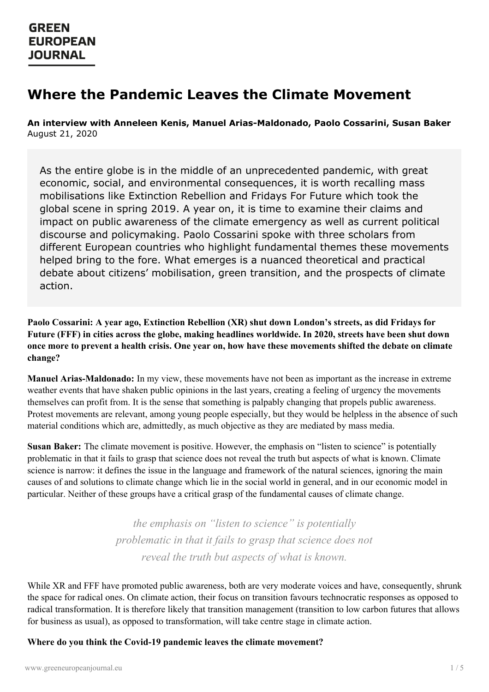## **Where the Pandemic Leaves the Climate Movement**

**An interview with Anneleen Kenis, Manuel Arias-Maldonado, Paolo Cossarini, Susan Baker** August 21, 2020

As the entire globe is in the middle of an unprecedented pandemic, with great economic, social, and environmental consequences, it is worth recalling mass mobilisations like Extinction Rebellion and Fridays For Future which took the global scene in spring 2019. A year on, it is time to examine their claims and impact on public awareness of the climate emergency as well as current political discourse and policymaking. Paolo Cossarini spoke with three scholars from different European countries who highlight fundamental themes these movements helped bring to the fore. What emerges is a nuanced theoretical and practical debate about citizens' mobilisation, green transition, and the prospects of climate action.

**Paolo Cossarini: A year ago, Extinction Rebellion (XR) shut down London's streets, as did Fridays for Future (FFF) in cities across the globe, making headlines worldwide. In 2020, streets have been shut down** once more to prevent a health crisis. One year on, how have these movements shifted the debate on climate **change?**

**Manuel Arias-Maldonado:** In my view, these movements have not been as important as the increase in extreme weather events that have shaken public opinions in the last years, creating a feeling of urgency the movements themselves can profit from. It is the sense that something is palpably changing that propels public awareness. Protest movements are relevant, among young people especially, but they would be helpless in the absence of such material conditions which are, admittedly, as much objective as they are mediated by mass media.

**Susan Baker:** The climate movement is positive. However, the emphasis on "listen to science" is potentially problematic in that it fails to grasp that science does not reveal the truth but aspects of what is known. Climate science is narrow: it defines the issue in the language and framework of the natural sciences, ignoring the main causes of and solutions to climate change which lie in the social world in general, and in our economic model in particular. Neither of these groups have a critical grasp of the fundamental causes of climate change.

> *the emphasis on "listen to science" is potentially problematic in that it fails to grasp that science does not reveal the truth but aspects of what is known.*

[While](https://www.greeneuropeanjournal.eu) XR and FFF have promoted public awareness, both are very moderate voices and have, consequently, shrunk the space for radical ones. On climate action, their focus on transition favours technocratic responses as opposed to radical transformation. It is therefore likely that transition management (transition to low carbon futures that allows for business as usual), as opposed to transformation, will take centre stage in climate action.

**Where do you think the Covid-19 pandemic leaves the climate movement?**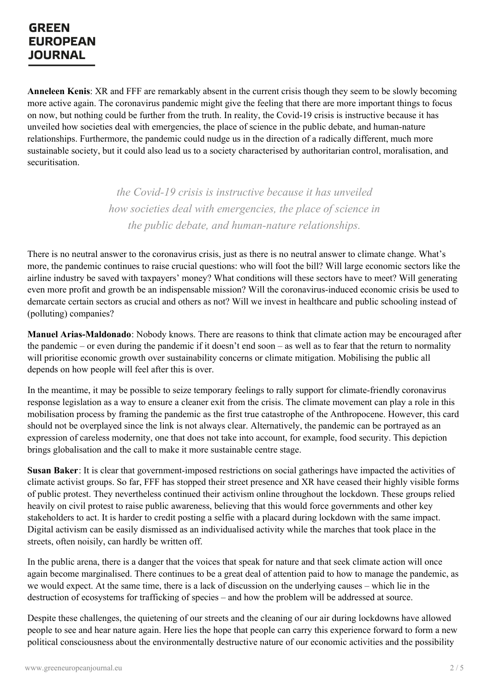## **GREEN EUROPEAN JOURNAL**

**Anneleen Kenis**: XR and FFF are remarkably absent in the current crisis though they seem to be slowly becoming more active again. The coronavirus pandemic might give the feeling that there are more important things to focus on now, but nothing could be further from the truth. In reality, the Covid-19 crisis is instructive because it has unveiled how societies deal with emergencies, the place of science in the public debate, and human-nature relationships. Furthermore, the pandemic could nudge us in the direction of a radically different, much more sustainable society, but it could also lead us to a society characterised by authoritarian control, moralisation, and securitisation.

> *the Covid-19 crisis is instructive because it has unveiled how societies deal with emergencies, the place of science in the public debate, and human-nature relationships.*

There is no neutral answer to the coronavirus crisis, just as there is no neutral answer to climate change. What's more, the pandemic continues to raise crucial questions: who will foot the bill? Will large economic sectors like the airline industry be saved with taxpayers' money? What conditions will these sectors have to meet? Will generating even more profit and growth be an indispensable mission? Will the coronavirus-induced economic crisis be used to demarcate certain sectors as crucial and others as not? Will we invest in healthcare and public schooling instead of (polluting) companies?

**Manuel Arias-Maldonado**: Nobody knows. There are reasons to think that climate action may be encouraged after the pandemic – or even during the pandemic if it doesn't end soon – as well as to fear that the return to normality will prioritise economic growth over sustainability concerns or climate mitigation. Mobilising the public all depends on how people will feel after this is over.

In the meantime, it may be possible to seize temporary feelings to rally support for climate-friendly coronavirus response legislation as a way to ensure a cleaner exit from the crisis. The climate movement can play a role in this mobilisation process by framing the pandemic as the first true catastrophe of the Anthropocene. However, this card should not be overplayed since the link is not always clear. Alternatively, the pandemic can be portrayed as an expression of careless modernity, one that does not take into account, for example, food security. This depiction brings globalisation and the call to make it more sustainable centre stage.

**Susan Baker**: It is clear that government-imposed restrictions on social gatherings have impacted the activities of climate activist groups. So far, FFF has stopped their street presence and XR have ceased their highly visible forms of public protest. They nevertheless continued their activism online throughout the lockdown. These groups relied heavily on civil protest to raise public awareness, believing that this would force governments and other key stakeholders to act. It is harder to credit posting a selfie with a placard during lockdown with the same impact. Digital activism can be easily dismissed as an individualised activity while the marches that took place in the streets, often noisily, can hardly be written off.

In the public arena, there is a danger that the voices that speak for nature and that seek climate action will once again become marginalised. There continues to be a great deal of attention paid to how to manage the pandemic, as we would [expect.](https://www.greeneuropeanjournal.eu) At the same time, there is a lack of discussion on the underlying causes – which lie in the destruction of ecosystems for trafficking of species – and how the problem will be addressed at source.

Despite these challenges, the quietening of our streets and the cleaning of our air during lockdowns have allowed people to see and hear nature again. Here lies the hope that people can carry this experience forward to form a new political consciousness about the environmentally destructive nature of our economic activities and the possibility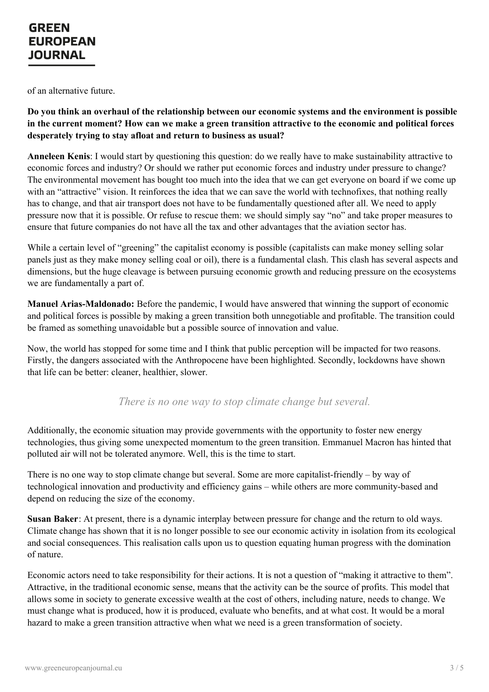of an alternative future.

**Do you think an overhaul of the relationship between our economic systems and the environment is possible** in the current moment? How can we make a green transition attractive to the economic and political forces **desperately trying to stay afloat and return to business as usual?**

**Anneleen Kenis**: I would start by questioning this question: do we really have to make sustainability attractive to economic forces and industry? Or should we rather put economic forces and industry under pressure to change? The environmental movement has bought too much into the idea that we can get everyone on board if we come up with an "attractive" vision. It reinforces the idea that we can save the world with technofixes, that nothing really has to change, and that air transport does not have to be fundamentally questioned after all. We need to apply pressure now that it is possible. Or refuse to rescue them: we should simply say "no" and take proper measures to ensure that future companies do not have all the tax and other advantages that the aviation sector has.

While a certain level of "greening" the capitalist economy is possible (capitalists can make money selling solar panels just as they make money selling coal or oil), there is a fundamental clash. This clash has several aspects and dimensions, but the huge cleavage is between pursuing economic growth and reducing pressure on the ecosystems we are fundamentally a part of.

**Manuel Arias-Maldonado:** Before the pandemic, I would have answered that winning the support of economic and political forces is possible by making a green transition both unnegotiable and profitable. The transition could be framed as something unavoidable but a possible source of innovation and value.

Now, the world has stopped for some time and I think that public perception will be impacted for two reasons. Firstly, the dangers associated with the Anthropocene have been highlighted. Secondly, lockdowns have shown that life can be better: cleaner, healthier, slower.

*There is no one way to stop climate change but several.*

Additionally, the economic situation may provide governments with the opportunity to foster new energy technologies, thus giving some unexpected momentum to the green transition. Emmanuel Macron has hinted that polluted air will not be tolerated anymore. Well, this is the time to start.

There is no one way to stop climate change but several. Some are more capitalist-friendly – by way of technological innovation and productivity and efficiency gains – while others are more community-based and depend on reducing the size of the economy.

**Susan Baker**: At present, there is a dynamic interplay between pressure for change and the return to old ways. Climate change has shown that it is no longer possible to see our economic activity in isolation from its ecological and social consequences. This realisation calls upon us to question equating human progress with the domination of nature.

Economic actors need to take responsibility for their actions. It is not a question of "making it attractive to them". [Attractive,](https://www.greeneuropeanjournal.eu) in the traditional economic sense, means that the activity can be the source of profits. This model that allows some in society to generate excessive wealth at the cost of others, including nature, needs to change. We must change what is produced, how it is produced, evaluate who benefits, and at what cost. It would be a moral hazard to make a green transition attractive when what we need is a green transformation of society.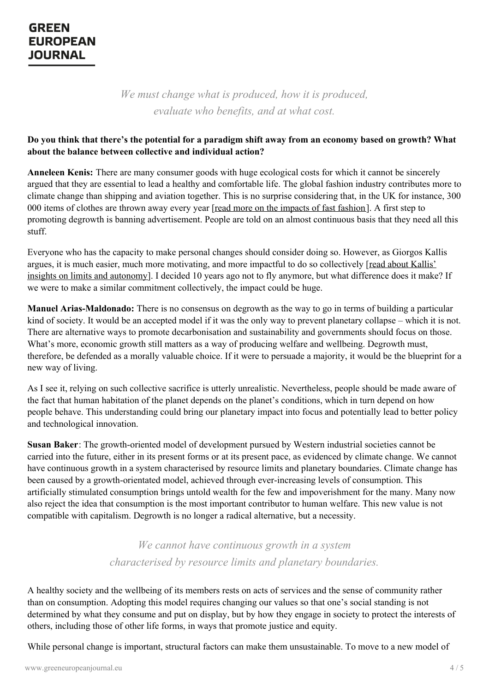*We must change what is produced, how it is produced, evaluate who benefits, and at what cost.*

## Do you think that there's the potential for a paradigm shift away from an economy based on growth? What **about the balance between collective and individual action?**

**Anneleen Kenis:** There are many consumer goods with huge ecological costs for which it cannot be sincerely argued that they are essential to lead a healthy and comfortable life. The global fashion industry contributes more to climate change than shipping and aviation together. This is no surprise considering that, in the UK for instance, 300 000 items of clothes are thrown away every year [read more on the [impacts](https://www.greeneuropeanjournal.eu/what-to-wear-why-fast-fashion-is-costing-the-earth/) of fast fashion]. A first step to promoting degrowth is banning advertisement. People are told on an almost continuous basis that they need all this stuff.

Everyone who has the capacity to make personal changes should consider doing so. However, as Giorgos Kallis argues, it is much easier, much more motivating, and more impactful to do so [collectively](https://www.greeneuropeanjournal.eu/questioning-our-limits-to-leave-scarcity-behind/) [read about Kallis' insights on limits and autonomy]. I decided 10 years ago not to fly anymore, but what difference does it make? If we were to make a similar commitment collectively, the impact could be huge.

**Manuel Arias-Maldonado:** There is no consensus on degrowth as the way to go in terms of building a particular kind of society. It would be an accepted model if it was the only way to prevent planetary collapse – which it is not. There are alternative ways to promote decarbonisation and sustainability and governments should focus on those. What's more, economic growth still matters as a way of producing welfare and wellbeing. Degrowth must, therefore, be defended as a morally valuable choice. If it were to persuade a majority, it would be the blueprint for a new way of living.

As I see it, relying on such collective sacrifice is utterly unrealistic. Nevertheless, people should be made aware of the fact that human habitation of the planet depends on the planet's conditions, which in turn depend on how people behave. This understanding could bring our planetary impact into focus and potentially lead to better policy and technological innovation.

**Susan Baker**: The growth-oriented model of development pursued by Western industrial societies cannot be carried into the future, either in its present forms or at its present pace, as evidenced by climate change. We cannot have continuous growth in a system characterised by resource limits and planetary boundaries. Climate change has been caused by a growth-orientated model, achieved through ever-increasing levels of consumption. This artificially stimulated consumption brings untold wealth for the few and impoverishment for the many. Many now also reject the idea that consumption is the most important contributor to human welfare. This new value is not compatible with capitalism. Degrowth is no longer a radical alternative, but a necessity.

> *We cannot have continuous growth in a system characterised by resource limits and planetary boundaries.*

A healthy society and the wellbeing of its members rests on acts of services and the sense of community rather than on consumption. Adopting this model requires changing our values so that one's social standing is not determined by what they consume and put on display, but by how they engage in society to protect the interests of others, including those of other life forms, in ways that promote justice and equity.

While personal change is important, structural factors can make them unsustainable. To move to a new model of